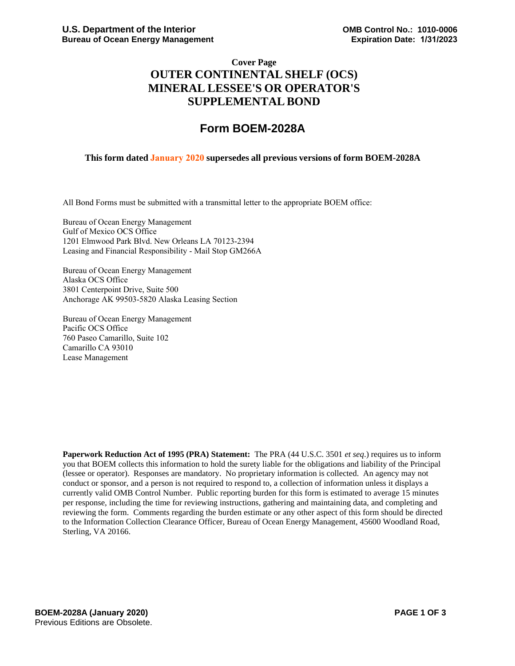## **Cover Page OUTER CONTINENTAL SHELF (OCS) MINERAL LESSEE'S OR OPERATOR'S SUPPLEMENTAL BOND**

# **Form BOEM-2028A**

#### **This form dated January 2020 supersedes all previous versions of form BOEM-2028A**

All Bond Forms must be submitted with a transmittal letter to the appropriate BOEM office:

Bureau of Ocean Energy Management Gulf of Mexico OCS Office 1201 Elmwood Park Blvd. New Orleans LA 70123-2394 Leasing and Financial Responsibility - Mail Stop GM266A

Bureau of Ocean Energy Management Alaska OCS Office 3801 Centerpoint Drive, Suite 500 Anchorage AK 99503-5820 Alaska Leasing Section

Bureau of Ocean Energy Management Pacific OCS Office 760 Paseo Camarillo, Suite 102 Camarillo CA 93010 Lease Management

**Paperwork Reduction Act of 1995 (PRA) Statement:** The PRA (44 U.S.C. 3501 *et seq*.) requires us to inform you that BOEM collects this information to hold the surety liable for the obligations and liability of the Principal (lessee or operator). Responses are mandatory. No proprietary information is collected. An agency may not conduct or sponsor, and a person is not required to respond to, a collection of information unless it displays a currently valid OMB Control Number. Public reporting burden for this form is estimated to average 15 minutes per response, including the time for reviewing instructions, gathering and maintaining data, and completing and reviewing the form. Comments regarding the burden estimate or any other aspect of this form should be directed to the Information Collection Clearance Officer, Bureau of Ocean Energy Management, 45600 Woodland Road, Sterling, VA 20166.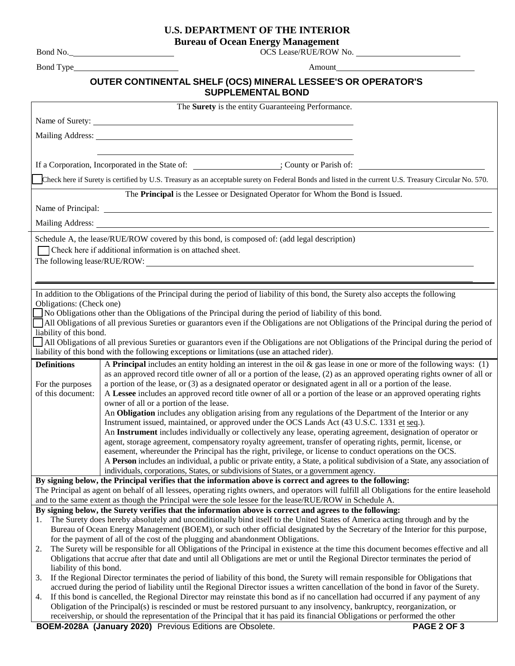## **U.S. DEPARTMENT OF THE INTERIOR**

**Bureau of Ocean Energy Management**

OCS Lease/RUE/ROW No.

Bond No.\_ Bond Type

Amount

### **OUTER CONTINENTAL SHELF (OCS) MINERAL LESSEE'S OR OPERATOR'S SUPPLEMENTAL BOND**

|                                                                                                                                                                                                                                                     | The <b>Surety</b> is the entity Guaranteeing Performance.                                                                                                                                                                                                   |  |  |  |  |
|-----------------------------------------------------------------------------------------------------------------------------------------------------------------------------------------------------------------------------------------------------|-------------------------------------------------------------------------------------------------------------------------------------------------------------------------------------------------------------------------------------------------------------|--|--|--|--|
|                                                                                                                                                                                                                                                     |                                                                                                                                                                                                                                                             |  |  |  |  |
|                                                                                                                                                                                                                                                     |                                                                                                                                                                                                                                                             |  |  |  |  |
|                                                                                                                                                                                                                                                     | Mailing Address: National Address: National Address: National Address: National Address: National Address: National Address: National Address: National Address: National Address: National Address: National Address: Nationa                              |  |  |  |  |
|                                                                                                                                                                                                                                                     |                                                                                                                                                                                                                                                             |  |  |  |  |
|                                                                                                                                                                                                                                                     |                                                                                                                                                                                                                                                             |  |  |  |  |
|                                                                                                                                                                                                                                                     | Check here if Surety is certified by U.S. Treasury as an acceptable surety on Federal Bonds and listed in the current U.S. Treasury Circular No. 570.                                                                                                       |  |  |  |  |
|                                                                                                                                                                                                                                                     | The Principal is the Lessee or Designated Operator for Whom the Bond is Issued.                                                                                                                                                                             |  |  |  |  |
|                                                                                                                                                                                                                                                     |                                                                                                                                                                                                                                                             |  |  |  |  |
|                                                                                                                                                                                                                                                     |                                                                                                                                                                                                                                                             |  |  |  |  |
|                                                                                                                                                                                                                                                     |                                                                                                                                                                                                                                                             |  |  |  |  |
| Schedule A, the lease/RUE/ROW covered by this bond, is composed of: (add legal description)                                                                                                                                                         |                                                                                                                                                                                                                                                             |  |  |  |  |
| Check here if additional information is on attached sheet.                                                                                                                                                                                          |                                                                                                                                                                                                                                                             |  |  |  |  |
| The following lease/RUE/ROW:                                                                                                                                                                                                                        |                                                                                                                                                                                                                                                             |  |  |  |  |
|                                                                                                                                                                                                                                                     |                                                                                                                                                                                                                                                             |  |  |  |  |
|                                                                                                                                                                                                                                                     |                                                                                                                                                                                                                                                             |  |  |  |  |
|                                                                                                                                                                                                                                                     | In addition to the Obligations of the Principal during the period of liability of this bond, the Surety also accepts the following                                                                                                                          |  |  |  |  |
| Obligations: (Check one)                                                                                                                                                                                                                            |                                                                                                                                                                                                                                                             |  |  |  |  |
| No Obligations other than the Obligations of the Principal during the period of liability of this bond.<br>All Obligations of all previous Sureties or guarantors even if the Obligations are not Obligations of the Principal during the period of |                                                                                                                                                                                                                                                             |  |  |  |  |
| liability of this bond.                                                                                                                                                                                                                             |                                                                                                                                                                                                                                                             |  |  |  |  |
| All Obligations of all previous Sureties or guarantors even if the Obligations are not Obligations of the Principal during the period of                                                                                                            |                                                                                                                                                                                                                                                             |  |  |  |  |
|                                                                                                                                                                                                                                                     | liability of this bond with the following exceptions or limitations (use an attached rider).                                                                                                                                                                |  |  |  |  |
| <b>Definitions</b>                                                                                                                                                                                                                                  | A <b>Principal</b> includes an entity holding an interest in the oil $\&$ gas lease in one or more of the following ways: (1)                                                                                                                               |  |  |  |  |
|                                                                                                                                                                                                                                                     | as an approved record title owner of all or a portion of the lease, (2) as an approved operating rights owner of all or                                                                                                                                     |  |  |  |  |
| For the purposes                                                                                                                                                                                                                                    | a portion of the lease, or (3) as a designated operator or designated agent in all or a portion of the lease.                                                                                                                                               |  |  |  |  |
| of this document:                                                                                                                                                                                                                                   | A Lessee includes an approved record title owner of all or a portion of the lease or an approved operating rights                                                                                                                                           |  |  |  |  |
|                                                                                                                                                                                                                                                     |                                                                                                                                                                                                                                                             |  |  |  |  |
|                                                                                                                                                                                                                                                     |                                                                                                                                                                                                                                                             |  |  |  |  |
|                                                                                                                                                                                                                                                     | owner of all or a portion of the lease.<br>An Obligation includes any obligation arising from any regulations of the Department of the Interior or any                                                                                                      |  |  |  |  |
|                                                                                                                                                                                                                                                     | Instrument issued, maintained, or approved under the OCS Lands Act (43 U.S.C. 1331 et seq.).                                                                                                                                                                |  |  |  |  |
|                                                                                                                                                                                                                                                     | An Instrument includes individually or collectively any lease, operating agreement, designation of operator or                                                                                                                                              |  |  |  |  |
|                                                                                                                                                                                                                                                     | agent, storage agreement, compensatory royalty agreement, transfer of operating rights, permit, license, or                                                                                                                                                 |  |  |  |  |
|                                                                                                                                                                                                                                                     | easement, whereunder the Principal has the right, privilege, or license to conduct operations on the OCS.                                                                                                                                                   |  |  |  |  |
|                                                                                                                                                                                                                                                     | A Person includes an individual, a public or private entity, a State, a political subdivision of a State, any association of                                                                                                                                |  |  |  |  |
|                                                                                                                                                                                                                                                     | individuals, corporations, States, or subdivisions of States, or a government agency.                                                                                                                                                                       |  |  |  |  |
|                                                                                                                                                                                                                                                     | By signing below, the Principal verifies that the information above is correct and agrees to the following:                                                                                                                                                 |  |  |  |  |
|                                                                                                                                                                                                                                                     | The Principal as agent on behalf of all lessees, operating rights owners, and operators will fulfill all Obligations for the entire leasehold                                                                                                               |  |  |  |  |
|                                                                                                                                                                                                                                                     | and to the same extent as though the Principal were the sole lessee for the lease/RUE/ROW in Schedule A.                                                                                                                                                    |  |  |  |  |
|                                                                                                                                                                                                                                                     | By signing below, the Surety verifies that the information above is correct and agrees to the following:                                                                                                                                                    |  |  |  |  |
| 1.                                                                                                                                                                                                                                                  | The Surety does hereby absolutely and unconditionally bind itself to the United States of America acting through and by the                                                                                                                                 |  |  |  |  |
|                                                                                                                                                                                                                                                     | Bureau of Ocean Energy Management (BOEM), or such other official designated by the Secretary of the Interior for this purpose,                                                                                                                              |  |  |  |  |
| 2.                                                                                                                                                                                                                                                  | for the payment of all of the cost of the plugging and abandonment Obligations.                                                                                                                                                                             |  |  |  |  |
|                                                                                                                                                                                                                                                     | The Surety will be responsible for all Obligations of the Principal in existence at the time this document becomes effective and all                                                                                                                        |  |  |  |  |
| liability of this bond.                                                                                                                                                                                                                             | Obligations that accrue after that date and until all Obligations are met or until the Regional Director terminates the period of                                                                                                                           |  |  |  |  |
| 3.                                                                                                                                                                                                                                                  | If the Regional Director terminates the period of liability of this bond, the Surety will remain responsible for Obligations that                                                                                                                           |  |  |  |  |
|                                                                                                                                                                                                                                                     | accrued during the period of liability until the Regional Director issues a written cancellation of the bond in favor of the Surety.                                                                                                                        |  |  |  |  |
| 4.                                                                                                                                                                                                                                                  | If this bond is cancelled, the Regional Director may reinstate this bond as if no cancellation had occurred if any payment of any                                                                                                                           |  |  |  |  |
|                                                                                                                                                                                                                                                     | Obligation of the Principal(s) is rescinded or must be restored pursuant to any insolvency, bankruptcy, reorganization, or<br>receivership, or should the representation of the Principal that it has paid its financial Obligations or performed the other |  |  |  |  |